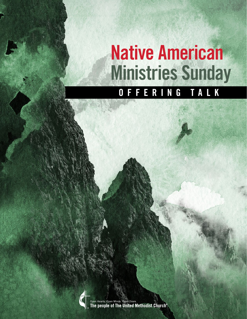## Native American Ministries Sunday OFFERING TALK

Open Hearts. Open Minds. Open Doors.<br>The people of The United Methodist Church®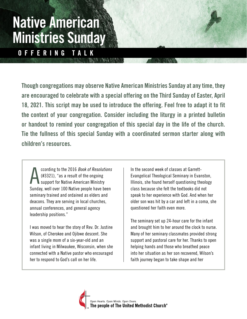Though congregations may observe Native American Ministries Sunday at any time, they are encouraged to celebrate with a special offering on the Third Sunday of Easter, April 18, 2021. This script may be used to introduce the offering. Feel free to adapt it to fit the context of your congregation. Consider including the liturgy in a printed bulletin or handout to remind your congregation of this special day in the life of the church. Tie the fullness of this special Sunday with a coordinated sermon starter along with children's resources.

A ccording to the 2016 Book of Resolutions (#3321), "as a result of the ongoing support for Native American Ministry Sunday, well over 100 Native people have been seminary trained and ordained as elders and deacons. They are serving in local churches, annual conferences, and general agency leadership positions."

I was moved to hear the story of Rev. Dr. Justine Wilson, of Cherokee and Ojibwe descent. She was a single mom of a six-year-old and an infant living in Milwaukee, Wisconsin, when she connected with a Native pastor who encouraged her to respond to God's call on her life.

In the second week of classes at Garrett-Evangelical Theological Seminary in Evanston, Illinois, she found herself questioning theology class because she felt the textbooks did not speak to her experience with God. And when her older son was hit by a car and left in a coma, she questioned her faith even more.

The seminary set up 24-hour care for the infant and brought him to her around the clock to nurse. Many of her seminary classmates provided strong support and pastoral care for her. Thanks to open helping hands and those who breathed peace into her situation as her son recovered, Wilson's faith journey began to take shape and her